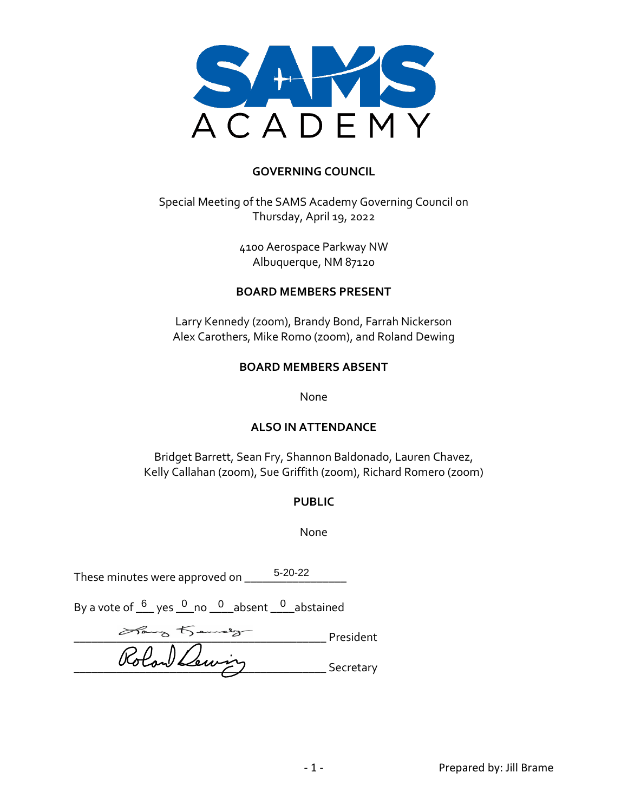

#### **GOVERNING COUNCIL**

Special Meeting of the SAMS Academy Governing Council on Thursday, April 19, 2022

> 4100 Aerospace Parkway NW Albuquerque, NM 87120

#### **BOARD MEMBERS PRESENT**

Larry Kennedy (zoom), Brandy Bond, Farrah Nickerson Alex Carothers, Mike Romo (zoom), and Roland Dewing

#### **BOARD MEMBERS ABSENT**

None

#### **ALSO IN ATTENDANCE**

Bridget Barrett, Sean Fry, Shannon Baldonado, Lauren Chavez, Kelly Callahan (zoom), Sue Griffith (zoom), Richard Romero (zoom)

#### **PUBLIC**

None

These minutes were approved on \_\_\_\_\_\_\_\_\_\_\_\_\_\_\_\_\_ 5-20-22

By a vote of  $6/6$  yes  $10/10$  no  $10/10$  abstained By a vote of  $10/10$ 

\_\_\_\_\_\_\_\_\_\_\_\_\_\_\_\_\_\_\_\_\_\_\_\_\_\_\_\_\_\_\_\_\_\_\_\_\_\_\_\_\_\_ President Rolan Lewing Secretary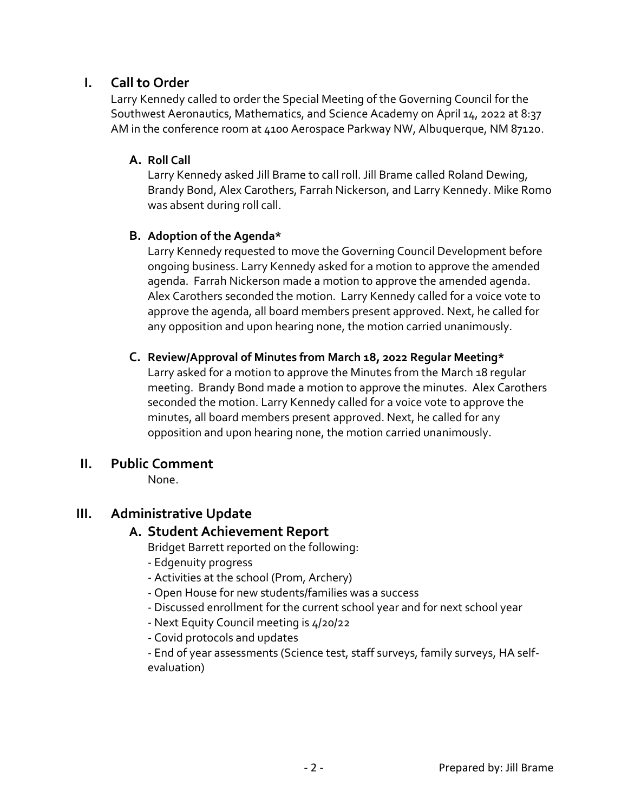## **I. Call to Order**

Larry Kennedy called to order the Special Meeting of the Governing Council for the Southwest Aeronautics, Mathematics, and Science Academy on April 14, 2022 at 8:37 AM in the conference room at 4100 Aerospace Parkway NW, Albuquerque, NM 87120.

## **A. Roll Call**

Larry Kennedy asked Jill Brame to call roll. Jill Brame called Roland Dewing, Brandy Bond, Alex Carothers, Farrah Nickerson, and Larry Kennedy. Mike Romo was absent during roll call.

## **B. Adoption of the Agenda\***

Larry Kennedy requested to move the Governing Council Development before ongoing business. Larry Kennedy asked for a motion to approve the amended agenda. Farrah Nickerson made a motion to approve the amended agenda. Alex Carothers seconded the motion. Larry Kennedy called for a voice vote to approve the agenda, all board members present approved. Next, he called for any opposition and upon hearing none, the motion carried unanimously.

## **C. Review/Approval of Minutes from March 18, 2022 Regular Meeting\***

Larry asked for a motion to approve the Minutes from the March 18 regular meeting. Brandy Bond made a motion to approve the minutes. Alex Carothers seconded the motion. Larry Kennedy called for a voice vote to approve the minutes, all board members present approved. Next, he called for any opposition and upon hearing none, the motion carried unanimously.

## **II. Public Comment**

None.

# **III. Administrative Update**

## **A. Student Achievement Report**

Bridget Barrett reported on the following:

- Edgenuity progress
- Activities at the school (Prom, Archery)
- Open House for new students/families was a success
- Discussed enrollment for the current school year and for next school year
- Next Equity Council meeting is 4/20/22
- Covid protocols and updates

- End of year assessments (Science test, staff surveys, family surveys, HA selfevaluation)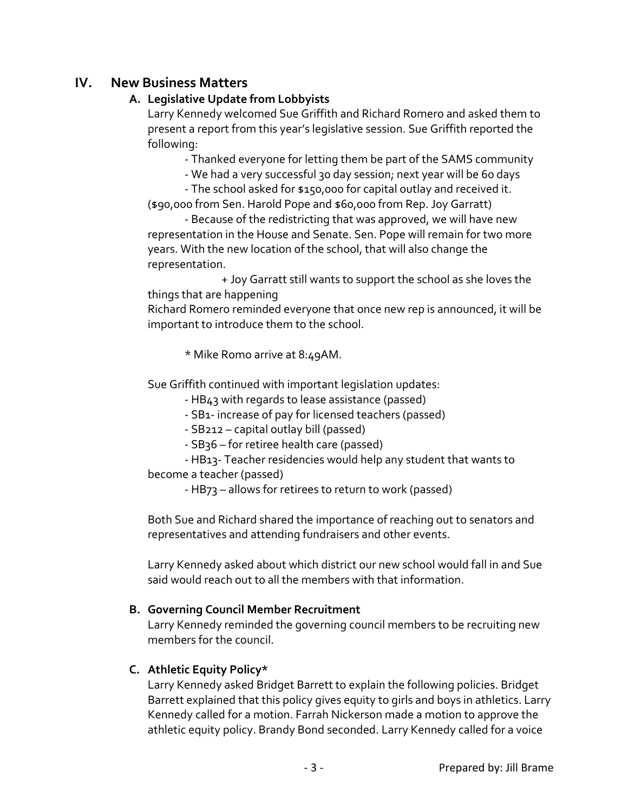## **IV. New Business Matters**

## **A. Legislative Update from Lobbyists**

Larry Kennedy welcomed Sue Griffith and Richard Romero and asked them to present a report from this year's legislative session. Sue Griffith reported the following:

- Thanked everyone for letting them be part of the SAMS community

- We had a very successful 30 day session; next year will be 60 days

- The school asked for \$150,000 for capital outlay and received it. (\$90,000 from Sen. Harold Pope and \$60,000 from Rep. Joy Garratt)

- Because of the redistricting that was approved, we will have new representation in the House and Senate. Sen. Pope will remain for two more years. With the new location of the school, that will also change the representation.

+ Joy Garratt still wants to support the school as she loves the things that are happening

Richard Romero reminded everyone that once new rep is announced, it will be important to introduce them to the school.

\* Mike Romo arrive at 8:49AM.

Sue Griffith continued with important legislation updates:

- HB43 with regards to lease assistance (passed)

- SB1- increase of pay for licensed teachers (passed)

- SB212 – capital outlay bill (passed)

- SB36 – for retiree health care (passed)

- HB13- Teacher residencies would help any student that wants to become a teacher (passed)

- HB73 – allows for retirees to return to work (passed)

Both Sue and Richard shared the importance of reaching out to senators and representatives and attending fundraisers and other events.

Larry Kennedy asked about which district our new school would fall in and Sue said would reach out to all the members with that information.

## **B. Governing Council Member Recruitment**

Larry Kennedy reminded the governing council members to be recruiting new members for the council.

## **C. Athletic Equity Policy\***

Larry Kennedy asked Bridget Barrett to explain the following policies. Bridget Barrett explained that this policy gives equity to girls and boys in athletics. Larry Kennedy called for a motion. Farrah Nickerson made a motion to approve the athletic equity policy. Brandy Bond seconded. Larry Kennedy called for a voice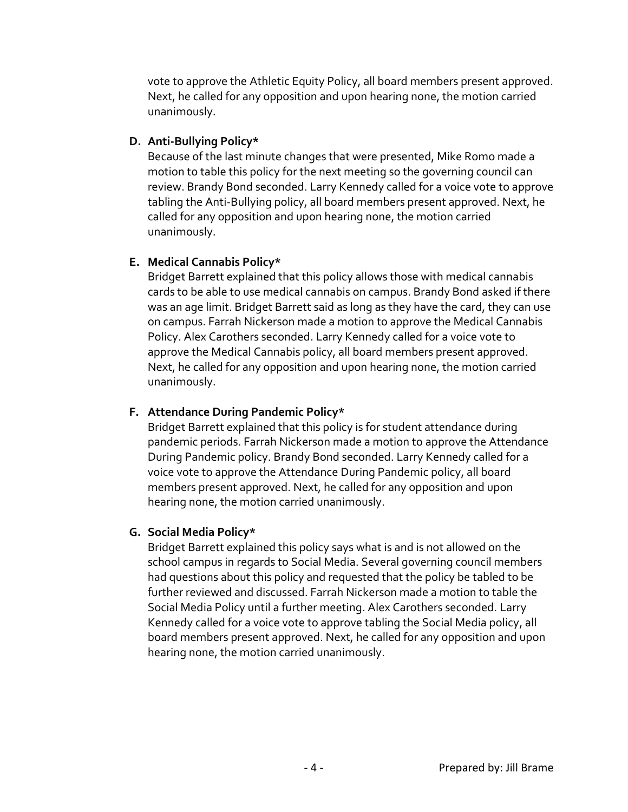vote to approve the Athletic Equity Policy, all board members present approved. Next, he called for any opposition and upon hearing none, the motion carried unanimously.

### **D. Anti-Bullying Policy\***

Because of the last minute changes that were presented, Mike Romo made a motion to table this policy for the next meeting so the governing council can review. Brandy Bond seconded. Larry Kennedy called for a voice vote to approve tabling the Anti-Bullying policy, all board members present approved. Next, he called for any opposition and upon hearing none, the motion carried unanimously.

### **E. Medical Cannabis Policy\***

Bridget Barrett explained that this policy allows those with medical cannabis cards to be able to use medical cannabis on campus. Brandy Bond asked if there was an age limit. Bridget Barrett said as long as they have the card, they can use on campus. Farrah Nickerson made a motion to approve the Medical Cannabis Policy. Alex Carothers seconded. Larry Kennedy called for a voice vote to approve the Medical Cannabis policy, all board members present approved. Next, he called for any opposition and upon hearing none, the motion carried unanimously.

## **F. Attendance During Pandemic Policy\***

Bridget Barrett explained that this policy is for student attendance during pandemic periods. Farrah Nickerson made a motion to approve the Attendance During Pandemic policy. Brandy Bond seconded. Larry Kennedy called for a voice vote to approve the Attendance During Pandemic policy, all board members present approved. Next, he called for any opposition and upon hearing none, the motion carried unanimously.

#### **G. Social Media Policy\***

Bridget Barrett explained this policy says what is and is not allowed on the school campus in regards to Social Media. Several governing council members had questions about this policy and requested that the policy be tabled to be further reviewed and discussed. Farrah Nickerson made a motion to table the Social Media Policy until a further meeting. Alex Carothers seconded. Larry Kennedy called for a voice vote to approve tabling the Social Media policy, all board members present approved. Next, he called for any opposition and upon hearing none, the motion carried unanimously.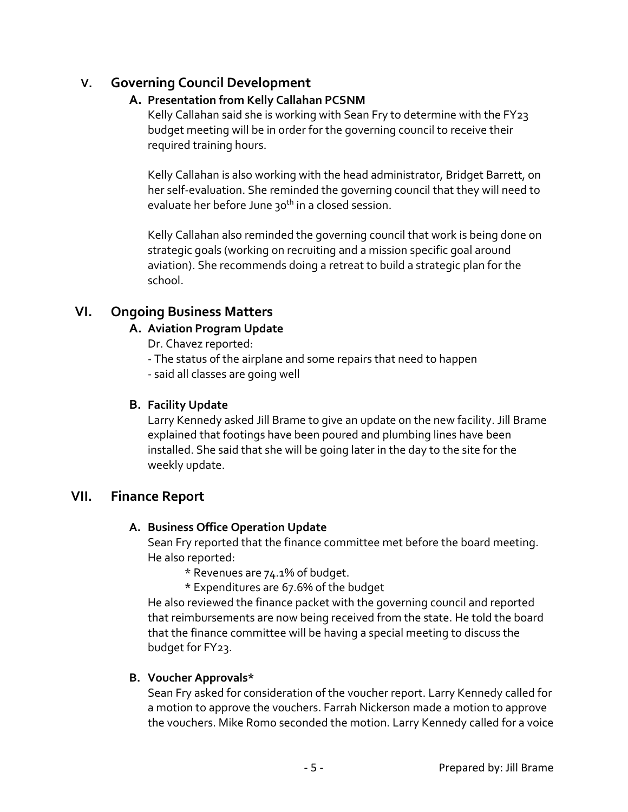## **V. Governing Council Development**

## **A. Presentation from Kelly Callahan PCSNM**

Kelly Callahan said she is working with Sean Fry to determine with the FY23 budget meeting will be in order for the governing council to receive their required training hours.

Kelly Callahan is also working with the head administrator, Bridget Barrett, on her self-evaluation. She reminded the governing council that they will need to evaluate her before June 30<sup>th</sup> in a closed session.

Kelly Callahan also reminded the governing council that work is being done on strategic goals (working on recruiting and a mission specific goal around aviation). She recommends doing a retreat to build a strategic plan for the school.

# **VI. Ongoing Business Matters**

## **A. Aviation Program Update**

Dr. Chavez reported:

- The status of the airplane and some repairs that need to happen

- said all classes are going well

## **B. Facility Update**

Larry Kennedy asked Jill Brame to give an update on the new facility. Jill Brame explained that footings have been poured and plumbing lines have been installed. She said that she will be going later in the day to the site for the weekly update.

## **VII. Finance Report**

## **A. Business Office Operation Update**

Sean Fry reported that the finance committee met before the board meeting. He also reported:

\* Revenues are 74.1% of budget.

\* Expenditures are 67.6% of the budget

He also reviewed the finance packet with the governing council and reported that reimbursements are now being received from the state. He told the board that the finance committee will be having a special meeting to discuss the budget for FY23.

## **B. Voucher Approvals\***

Sean Fry asked for consideration of the voucher report. Larry Kennedy called for a motion to approve the vouchers. Farrah Nickerson made a motion to approve the vouchers. Mike Romo seconded the motion. Larry Kennedy called for a voice